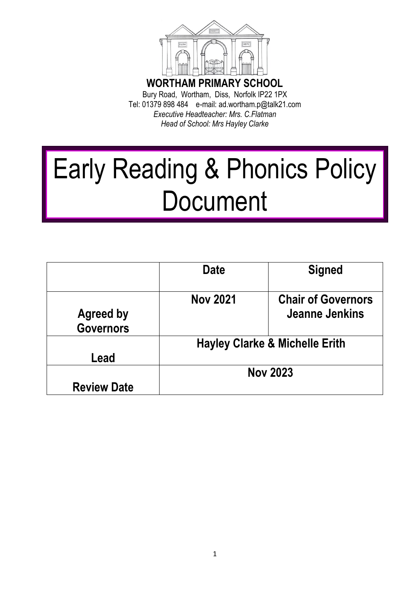

Bury Road, Wortham, Diss, Norfolk IP22 1PX Tel: 01379 898 484 e-mail: ad.wortham.p@talk21.com *Executive Headteacher: Mrs. C.Flatman Head of School: Mrs Hayley Clarke* 

# Early Reading & Phonics Policy **Document**

|                    | Date                                      | <b>Signed</b>                               |
|--------------------|-------------------------------------------|---------------------------------------------|
| <b>Agreed by</b>   | <b>Nov 2021</b>                           | <b>Chair of Governors</b><br>Jeanne Jenkins |
| <b>Governors</b>   |                                           |                                             |
|                    | <b>Hayley Clarke &amp; Michelle Erith</b> |                                             |
| Lead               |                                           |                                             |
|                    | <b>Nov 2023</b>                           |                                             |
| <b>Review Date</b> |                                           |                                             |

1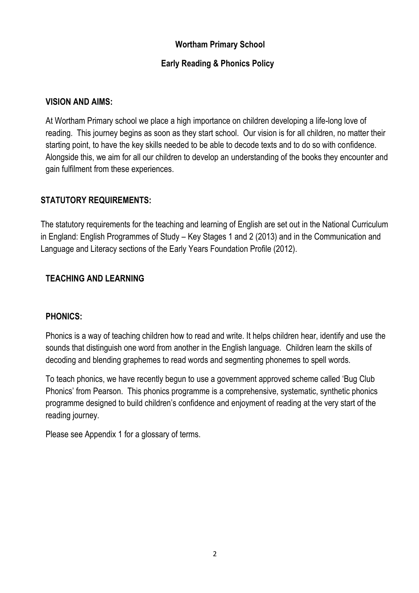#### **Wortham Primary School**

#### **Early Reading & Phonics Policy**

#### **VISION AND AIMS:**

At Wortham Primary school we place a high importance on children developing a life-long love of reading. This journey begins as soon as they start school. Our vision is for all children, no matter their starting point, to have the key skills needed to be able to decode texts and to do so with confidence. Alongside this, we aim for all our children to develop an understanding of the books they encounter and gain fulfilment from these experiences.

#### **STATUTORY REQUIREMENTS:**

The statutory requirements for the teaching and learning of English are set out in the National Curriculum in England: English Programmes of Study – Key Stages 1 and 2 (2013) and in the Communication and Language and Literacy sections of the Early Years Foundation Profile (2012).

### **TEACHING AND LEARNING**

#### **PHONICS:**

Phonics is a way of teaching children how to read and write. It helps children hear, identify and use the sounds that distinguish one word from another in the English language. Children learn the skills of decoding and blending graphemes to read words and segmenting phonemes to spell words.

To teach phonics, we have recently begun to use a government approved scheme called 'Bug Club Phonics' from Pearson. This phonics programme is a comprehensive, systematic, synthetic phonics programme designed to build children's confidence and enjoyment of reading at the very start of the reading journey.

Please see Appendix 1 for a glossary of terms.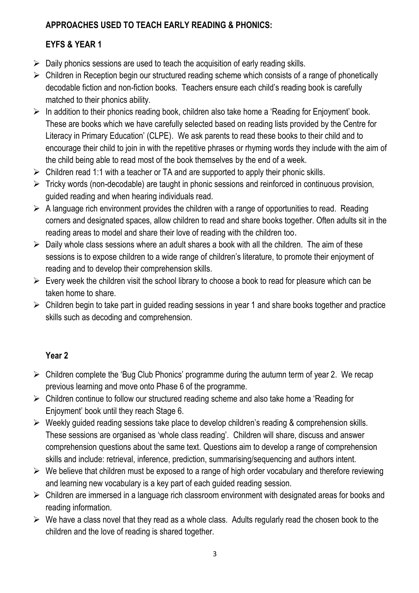# **APPROACHES USED TO TEACH EARLY READING & PHONICS:**

# **EYFS & YEAR 1**

- $\triangleright$  Daily phonics sessions are used to teach the acquisition of early reading skills.
- $\triangleright$  Children in Reception begin our structured reading scheme which consists of a range of phonetically decodable fiction and non-fiction books. Teachers ensure each child's reading book is carefully matched to their phonics ability.
- $\triangleright$  In addition to their phonics reading book, children also take home a 'Reading for Enjoyment' book. These are books which we have carefully selected based on reading lists provided by the Centre for Literacy in Primary Education' (CLPE). We ask parents to read these books to their child and to encourage their child to join in with the repetitive phrases or rhyming words they include with the aim of the child being able to read most of the book themselves by the end of a week.
- $\triangleright$  Children read 1:1 with a teacher or TA and are supported to apply their phonic skills.
- $\triangleright$  Tricky words (non-decodable) are taught in phonic sessions and reinforced in continuous provision, guided reading and when hearing individuals read.
- $\triangleright$  A language rich environment provides the children with a range of opportunities to read. Reading corners and designated spaces, allow children to read and share books together. Often adults sit in the reading areas to model and share their love of reading with the children too**.**
- $\triangleright$  Daily whole class sessions where an adult shares a book with all the children. The aim of these sessions is to expose children to a wide range of children's literature, to promote their enjoyment of reading and to develop their comprehension skills.
- $\triangleright$  Every week the children visit the school library to choose a book to read for pleasure which can be taken home to share.
- $\triangleright$  Children begin to take part in guided reading sessions in year 1 and share books together and practice skills such as decoding and comprehension.

# **Year 2**

- $\triangleright$  Children complete the 'Bug Club Phonics' programme during the autumn term of year 2. We recap previous learning and move onto Phase 6 of the programme.
- $\triangleright$  Children continue to follow our structured reading scheme and also take home a 'Reading for Enjoyment' book until they reach Stage 6.
- $\triangleright$  Weekly guided reading sessions take place to develop children's reading & comprehension skills. These sessions are organised as 'whole class reading'. Children will share, discuss and answer comprehension questions about the same text. Questions aim to develop a range of comprehension skills and include: retrieval, inference, prediction, summarising/sequencing and authors intent.
- $\triangleright$  We believe that children must be exposed to a range of high order vocabulary and therefore reviewing and learning new vocabulary is a key part of each guided reading session.
- $\triangleright$  Children are immersed in a language rich classroom environment with designated areas for books and reading information.
- $\triangleright$  We have a class novel that they read as a whole class. Adults regularly read the chosen book to the children and the love of reading is shared together.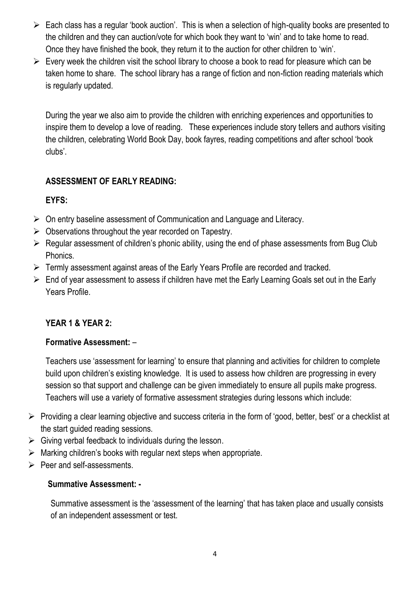- $\triangleright$  Each class has a regular 'book auction'. This is when a selection of high-quality books are presented to the children and they can auction/vote for which book they want to 'win' and to take home to read. Once they have finished the book, they return it to the auction for other children to 'win'.
- $\triangleright$  Every week the children visit the school library to choose a book to read for pleasure which can be taken home to share. The school library has a range of fiction and non-fiction reading materials which is regularly updated.

During the year we also aim to provide the children with enriching experiences and opportunities to inspire them to develop a love of reading. These experiences include story tellers and authors visiting the children, celebrating World Book Day, book fayres, reading competitions and after school 'book clubs'.

# **ASSESSMENT OF EARLY READING:**

# **EYFS:**

- $\triangleright$  On entry baseline assessment of Communication and Language and Literacy.
- $\triangleright$  Observations throughout the year recorded on Tapestry.
- $\triangleright$  Regular assessment of children's phonic ability, using the end of phase assessments from Bug Club Phonics.
- Termly assessment against areas of the Early Years Profile are recorded and tracked.
- $\triangleright$  End of year assessment to assess if children have met the Early Learning Goals set out in the Early Years Profile.

# **YEAR 1 & YEAR 2:**

## **Formative Assessment:** –

Teachers use 'assessment for learning' to ensure that planning and activities for children to complete build upon children's existing knowledge. It is used to assess how children are progressing in every session so that support and challenge can be given immediately to ensure all pupils make progress. Teachers will use a variety of formative assessment strategies during lessons which include:

- $\triangleright$  Providing a clear learning objective and success criteria in the form of 'good, better, best' or a checklist at the start guided reading sessions.
- $\triangleright$  Giving verbal feedback to individuals during the lesson.
- $\triangleright$  Marking children's books with regular next steps when appropriate.
- $\triangleright$  Peer and self-assessments.

## **Summative Assessment: -**

Summative assessment is the 'assessment of the learning' that has taken place and usually consists of an independent assessment or test.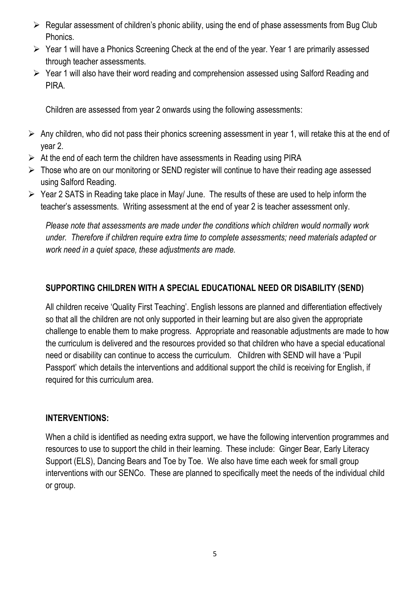- $\triangleright$  Regular assessment of children's phonic ability, using the end of phase assessments from Bug Club Phonics.
- $\triangleright$  Year 1 will have a Phonics Screening Check at the end of the year. Year 1 are primarily assessed through teacher assessments.
- Year 1 will also have their word reading and comprehension assessed using Salford Reading and PIRA.

Children are assessed from year 2 onwards using the following assessments:

- $\triangleright$  Any children, who did not pass their phonics screening assessment in year 1, will retake this at the end of year 2.
- $\triangleright$  At the end of each term the children have assessments in Reading using PIRA
- $\triangleright$  Those who are on our monitoring or SEND register will continue to have their reading age assessed using Salford Reading.
- $\triangleright$  Year 2 SATS in Reading take place in May/ June. The results of these are used to help inform the teacher's assessments. Writing assessment at the end of year 2 is teacher assessment only.

*Please note that assessments are made under the conditions which children would normally work under. Therefore if children require extra time to complete assessments; need materials adapted or work need in a quiet space, these adjustments are made.* 

## **SUPPORTING CHILDREN WITH A SPECIAL EDUCATIONAL NEED OR DISABILITY (SEND)**

All children receive 'Quality First Teaching'. English lessons are planned and differentiation effectively so that all the children are not only supported in their learning but are also given the appropriate challenge to enable them to make progress. Appropriate and reasonable adjustments are made to how the curriculum is delivered and the resources provided so that children who have a special educational need or disability can continue to access the curriculum. Children with SEND will have a 'Pupil Passport' which details the interventions and additional support the child is receiving for English, if required for this curriculum area.

#### **INTERVENTIONS:**

When a child is identified as needing extra support, we have the following intervention programmes and resources to use to support the child in their learning. These include: Ginger Bear, Early Literacy Support (ELS), Dancing Bears and Toe by Toe. We also have time each week for small group interventions with our SENCo. These are planned to specifically meet the needs of the individual child or group.